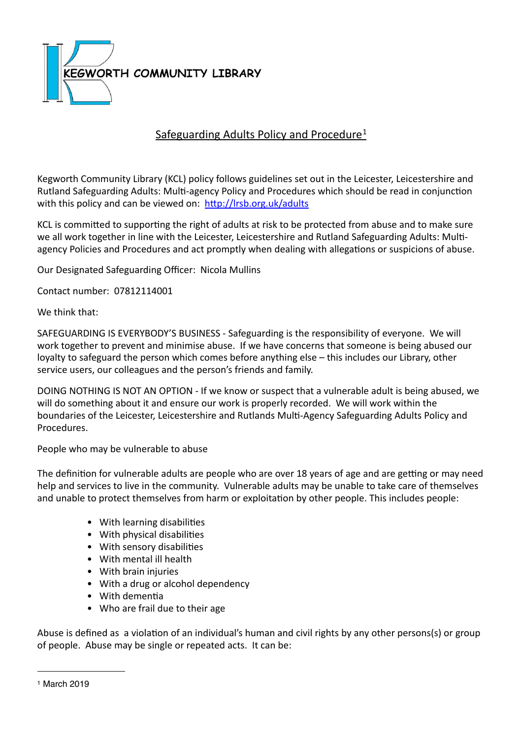

# Safeguarding Adults Policy and Procedure<sup>[1](#page-0-0)</sup>

Kegworth Community Library (KCL) policy follows guidelines set out in the Leicester, Leicestershire and Rutland Safeguarding Adults: Multi-agency Policy and Procedures which should be read in conjunction with this policy and can be viewed on: http://lrsb.org.uk/adults

KCL is committed to supporting the right of adults at risk to be protected from abuse and to make sure we all work together in line with the Leicester, Leicestershire and Rutland Safeguarding Adults: Multiagency Policies and Procedures and act promptly when dealing with allegations or suspicions of abuse.

Our Designated Safeguarding Officer: Nicola Mullins

Contact number: 07812114001 

We think that:

SAFEGUARDING IS EVERYBODY'S BUSINESS - Safeguarding is the responsibility of everyone. We will work together to prevent and minimise abuse. If we have concerns that someone is being abused our loyalty to safeguard the person which comes before anything else – this includes our Library, other service users, our colleagues and the person's friends and family.

DOING NOTHING IS NOT AN OPTION - If we know or suspect that a vulnerable adult is being abused, we will do something about it and ensure our work is properly recorded. We will work within the boundaries of the Leicester, Leicestershire and Rutlands Multi-Agency Safeguarding Adults Policy and Procedures. 

People who may be vulnerable to abuse

The definition for vulnerable adults are people who are over 18 years of age and are getting or may need help and services to live in the community. Vulnerable adults may be unable to take care of themselves and unable to protect themselves from harm or exploitation by other people. This includes people:

- With learning disabilities
- $\bullet$  With physical disabilities
- With sensory disabilities
- With mental ill health
- With brain injuries
- With a drug or alcohol dependency
- With dementia
- Who are frail due to their age

Abuse is defined as a violation of an individual's human and civil rights by any other persons(s) or group of people. Abuse may be single or repeated acts. It can be:

<span id="page-0-0"></span><sup>1</sup> March 2019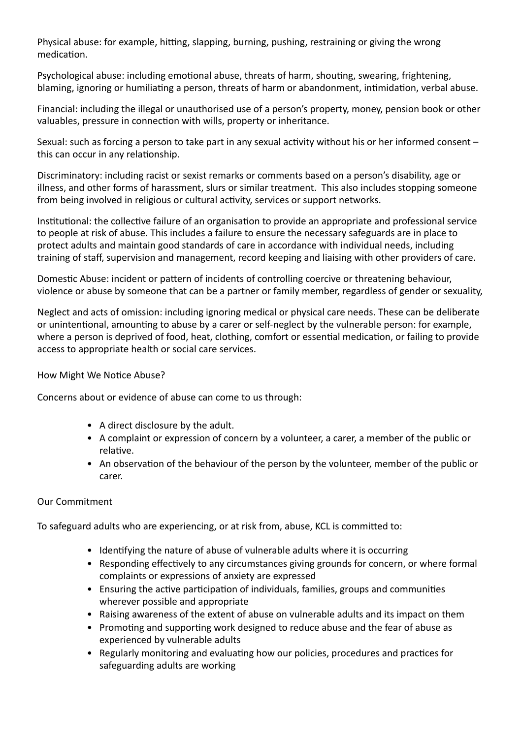Physical abuse: for example, hitting, slapping, burning, pushing, restraining or giving the wrong medication.

Psychological abuse: including emotional abuse, threats of harm, shouting, swearing, frightening, blaming, ignoring or humiliating a person, threats of harm or abandonment, intimidation, verbal abuse.

Financial: including the illegal or unauthorised use of a person's property, money, pension book or other valuables, pressure in connection with wills, property or inheritance.

Sexual: such as forcing a person to take part in any sexual activity without his or her informed consent  $$ this can occur in any relationship.

Discriminatory: including racist or sexist remarks or comments based on a person's disability, age or illness, and other forms of harassment, slurs or similar treatment. This also includes stopping someone from being involved in religious or cultural activity, services or support networks.

Institutional: the collective failure of an organisation to provide an appropriate and professional service to people at risk of abuse. This includes a failure to ensure the necessary safeguards are in place to protect adults and maintain good standards of care in accordance with individual needs, including training of staff, supervision and management, record keeping and liaising with other providers of care.

Domestic Abuse: incident or pattern of incidents of controlling coercive or threatening behaviour, violence or abuse by someone that can be a partner or family member, regardless of gender or sexuality,

Neglect and acts of omission: including ignoring medical or physical care needs. These can be deliberate or unintentional, amounting to abuse by a carer or self-neglect by the vulnerable person: for example, where a person is deprived of food, heat, clothing, comfort or essential medication, or failing to provide access to appropriate health or social care services.

# How Might We Notice Abuse?

Concerns about or evidence of abuse can come to us through:

- A direct disclosure by the adult.
- A complaint or expression of concern by a volunteer, a carer, a member of the public or relative.
- An observation of the behaviour of the person by the volunteer, member of the public or carer.

# Our Commitment

To safeguard adults who are experiencing, or at risk from, abuse, KCL is committed to:

- Identifying the nature of abuse of vulnerable adults where it is occurring
- Responding effectively to any circumstances giving grounds for concern, or where formal complaints or expressions of anxiety are expressed
- Ensuring the active participation of individuals, families, groups and communities wherever possible and appropriate
- Raising awareness of the extent of abuse on vulnerable adults and its impact on them
- Promoting and supporting work designed to reduce abuse and the fear of abuse as experienced by vulnerable adults
- Regularly monitoring and evaluating how our policies, procedures and practices for safeguarding adults are working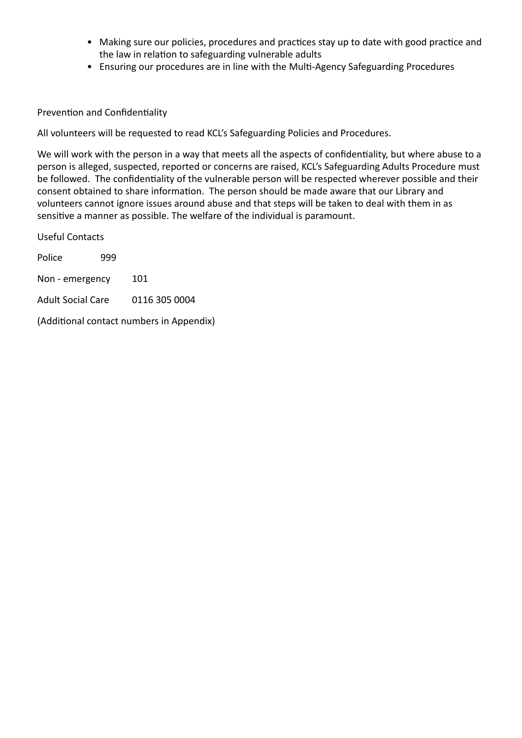- Making sure our policies, procedures and practices stay up to date with good practice and the law in relation to safeguarding vulnerable adults
- Ensuring our procedures are in line with the Multi-Agency Safeguarding Procedures

### Prevention and Confidentiality

All volunteers will be requested to read KCL's Safeguarding Policies and Procedures.

We will work with the person in a way that meets all the aspects of confidentiality, but where abuse to a person is alleged, suspected, reported or concerns are raised, KCL's Safeguarding Adults Procedure must be followed. The confidentiality of the vulnerable person will be respected wherever possible and their consent obtained to share information. The person should be made aware that our Library and volunteers cannot ignore issues around abuse and that steps will be taken to deal with them in as sensitive a manner as possible. The welfare of the individual is paramount.

Useful Contacts Police 999 Non - emergency 101 Adult Social Care 0116 305 0004

(Additional contact numbers in Appendix)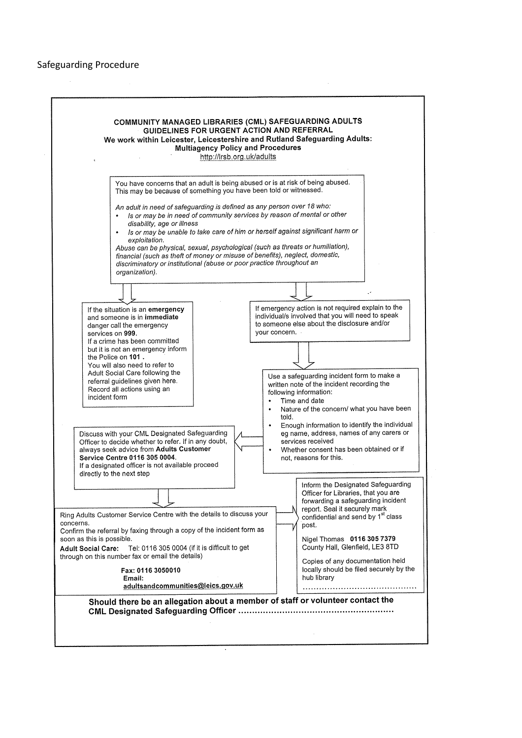#### Safeguarding Procedure

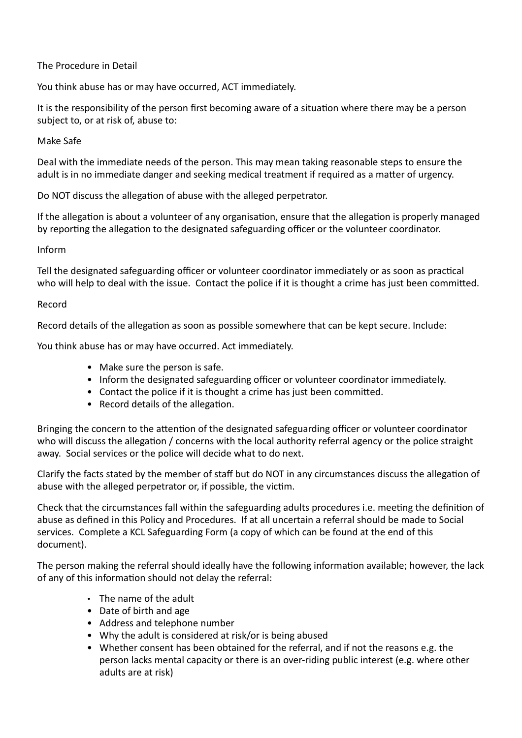# The Procedure in Detail

You think abuse has or may have occurred, ACT immediately.

It is the responsibility of the person first becoming aware of a situation where there may be a person subject to, or at risk of, abuse to:

# Make Safe

Deal with the immediate needs of the person. This may mean taking reasonable steps to ensure the adult is in no immediate danger and seeking medical treatment if required as a matter of urgency.

Do NOT discuss the allegation of abuse with the alleged perpetrator.

If the allegation is about a volunteer of any organisation, ensure that the allegation is properly managed by reporting the allegation to the designated safeguarding officer or the volunteer coordinator.

# Inform

Tell the designated safeguarding officer or volunteer coordinator immediately or as soon as practical who will help to deal with the issue. Contact the police if it is thought a crime has just been committed.

# Record

Record details of the allegation as soon as possible somewhere that can be kept secure. Include:

You think abuse has or may have occurred. Act immediately.

- Make sure the person is safe.
- Inform the designated safeguarding officer or volunteer coordinator immediately.
- Contact the police if it is thought a crime has just been committed.
- Record details of the allegation.

Bringing the concern to the attention of the designated safeguarding officer or volunteer coordinator who will discuss the allegation / concerns with the local authority referral agency or the police straight away. Social services or the police will decide what to do next.

Clarify the facts stated by the member of staff but do NOT in any circumstances discuss the allegation of abuse with the alleged perpetrator or, if possible, the victim.

Check that the circumstances fall within the safeguarding adults procedures i.e. meeting the definition of abuse as defined in this Policy and Procedures. If at all uncertain a referral should be made to Social services. Complete a KCL Safeguarding Form (a copy of which can be found at the end of this document).

The person making the referral should ideally have the following information available; however, the lack of any of this information should not delay the referral:

- $\cdot$  The name of the adult
- Date of birth and age
- Address and telephone number
- Why the adult is considered at risk/or is being abused
- Whether consent has been obtained for the referral, and if not the reasons e.g. the person lacks mental capacity or there is an over-riding public interest (e.g. where other adults are at risk)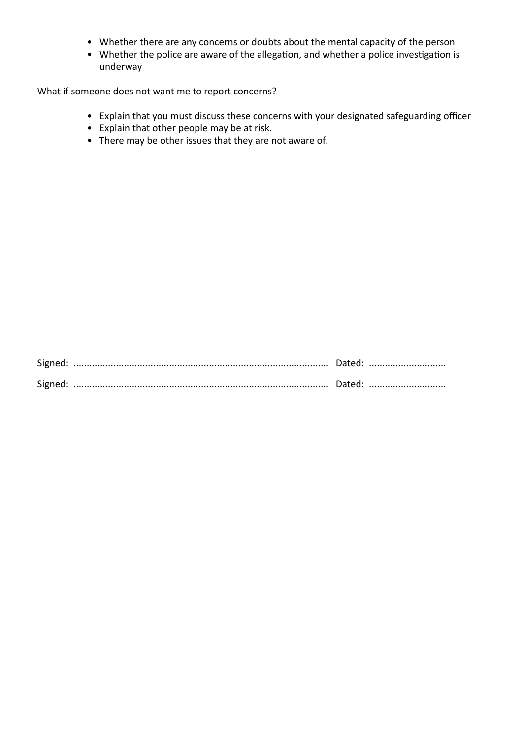- Whether there are any concerns or doubts about the mental capacity of the person
- Whether the police are aware of the allegation, and whether a police investigation is underway

What if someone does not want me to report concerns?

- Explain that you must discuss these concerns with your designated safeguarding officer
- Explain that other people may be at risk.
- There may be other issues that they are not aware of.